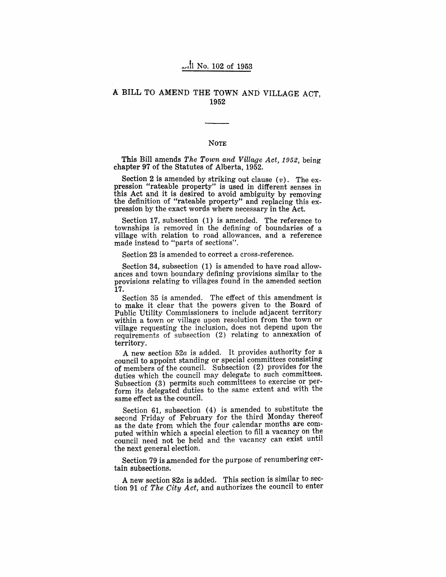#### A BILL TO AMEND THE TOWN AND VILLAGE ACT, 1952 .

#### NOTE

This Bill amends *The Town and Village Act, 1952*, being chapter 97 of the Statutes of Alberta, 1952.

Section 2 is amended by striking out clause  $(v)$ . The expression "rateable property" is used in different senses in this Act and it is desired to avoid ambiguity by removing the definition of "rateable property" and replacing this expression by the exact words where necessary in the Act.

Section 17, subsection  $(1)$  is amended. The reference to. townships is removed in the defining of boundaries of a village with relation to road allowances, and a reference made instead to "parts of sections".

Section 23 is amended to correct a cross-reference.

Section 34, subsection  $(1)$  is amended to have road allowances and town boundary defining provisions similar to the provisions relating to villages found in the amended section 17.

Section 35 is amended. The effect of this amendment is to make it clear that the powers given to the Board of Public Utility Commissioners to include adjacent territory within a town or village upon resolution from the town or village requesting the inclusion, does not depend upon the requirements of subsection (2) relating to annexation of territory.

A new section  $52a$  is added. It provides authority for a council to appoint standing or special committees consisting of members of the council. Subsection (2) provides for the duties which the council may delegate to such committees. Subsection (3) permits such committees to exercise or perform its delegated duties to the same extent and with the same effect as the council.

Section 61, subsection  $(4)$  is amended to substitute the second Friday of February for the third Monday thereof as the date from which the four calendar months are computed within which a special election to fill a vacancy on the council need not be held and the vacancy can exist until the next general election.

Section 79 is amended for the purpose of renumbering certain subsections.

A new section  $82a$  is added. This section is similar to section 91 of *The City Act*, and authorizes the council to enter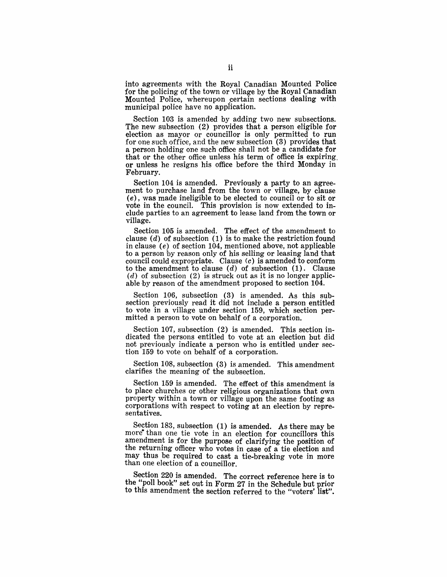into agreements with the Royal Canadian Mounted Police for the policing of the town or village by the Royal Canadian Mounted Police, whereupon certain sections dealing with municipal police have no application.

Section 103 is amended by adding two new subsections. The new subsection (2) provides that a person eligible for election as mayor or councillor is only permitted to run for one such office, and the new subsection (3) provides that a person holding one such office shall not be a candidate for that or the other office unless his term of office is expiring, or unless he resigns his office before the third Monday in February.

Section 104 is amended. Previously a party to an agreement to purchase land from the town or village, by clause (e), was made ineligible to be elected to council or to sit or vote in the council. This provision is now extended to include parties to an agreement to lease land from the town or village.

Section 105 is amended. The effect of the amendment to clause  $(d)$  of subsection  $(1)$  is to make the restriction found in clause (e) of section 104, mentioned above, not applicable to a person by reason only of his selling or leasing land that council could expropriate. Clause  $(c)$  is amended to conform to the amendment to clause  $(d)$  of subsection  $(1)$ . Clause  $(d)$  of subsection  $(2)$  is struck out as it is no longer applicable by reason of the amendment proposed to section 104.

Section 106, subsection (3) is amended. As this subsection previously read it did not include a person entitled to vote in a village under section 159, which section permitted a person to vote on behalf of a corporation.

Section 107, subsection (2) is amended. This section indicated the persons entitled to vote at an election but did not previously indicate a person who is entitled under section 159 to vote on behalf of a corporation.

Section 108, subsection (3) is amended. This amendment clarifies the meaning of the subsection.

Section 159 is amended. The effect of this amendment is to place churches or other religious organizations that own property within a town or village upon the same footing as corporations with respect to voting at an election by repre- sentatives.

Section 183, subsection (1) is amended. As there may be more than one tie vote in an election for councillors this amendment is for the purpose of clarifying the position of the returning officer who votes in case of a tie election and may thus be required to cast a tie-breaking vote in more than one election of a councillor.

Section 220 is amended. The correct reference here is to the "poll book" set out in Form 27 in the Schedule but prior to this amendment the section referred to the "voters' list".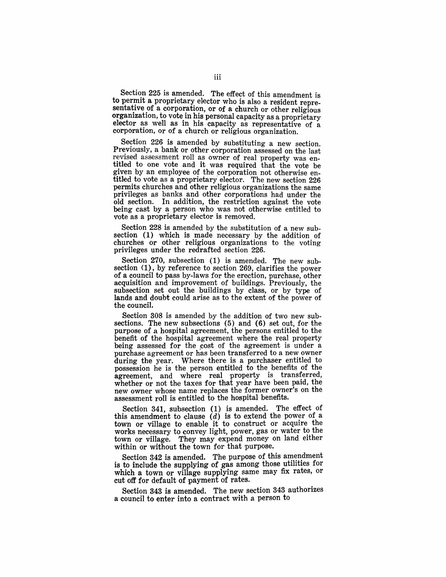Section 225 is amended. The effect of this amendment is to permit a proprietary elector who is also a resident representative of a corporation, or of a church or other religious organization, to vote in his personal capacity as a proprietary elector as well as in his capacity as representative of a corporation, or of a church or religious organization.

Section 226 is amended by substituting a new section. Previously, a bank or other corporation assessed on the last revised assessment roll as owner of real property was entitled to one vote and it was required that the vote be given by an employee of the corporation not otherwise entitled to vote as a proprietary' elector. The new section 226 permits churches and other religious organizations the same privileges as banks and other corporations had under the old section. In addition, the restriction against the vote being cast by a person who was not otherwise entitled to vote as a proprietary elector is removed.

Section 228 is amended by the substitution of a new subsection (1) which is made necessary by the addition of churches or other religious organizations to the voting privileges under the redrafted section 226.

Section  $270$ , subsection  $(1)$  is amended. The new subsection (1), by reference to section 269, clarifies the power of a council to pass by-laws for the erection, purchase, other acquisition and improvement of buildings. Previously, the subsection set out the buildings by class, or by type of lands and doubt could arise as to the extent of the power of the council.

Section 308 is amended by the addition of two new subsections. The new subsections (5) and (6) set out, for the purpose of a hospital agreement, the persons entitled to the benefit of the hospital agreement where the real property being assessed for the cost of the agreement is under a purchase agreement or has been transferred to a new owner during the year. Where there is a purchaser entitled to possession he is the person entitled to the benefits of the agreement, and where real property is transferred, whether or not the taxes for that year have been paid, the new owner whose name replaces the former owner's on the assessment roll is entitled to the hospital benefits.

Section 341, subsection (1) is amended. The effect of this amendment to clause  $(d)$  is to extend the power of a town or village to enable it to construct or acquire the works necessary to convey light, power, gas or water to the town or village. They may expend money on land either within or without the town for that purpose.

Section 342 is amended. The purpose of this amendment is to include the supplying of gas among those utilities for which a town or village supplying same may fix rates, or cut off for default of payment of rates.

Section 343 is amended. The new section 343 authorizes a council to enter into a contract with a person to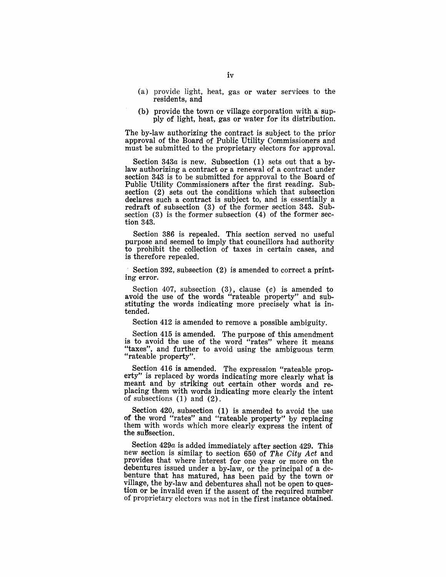- (a) provide light, heat, gas or water services to the residents, and
- (b) provide the town or village corporation with a supply of light, heat, gas or water for its distribution.

The by-law authorizing the contract is subject to the prior approval of the Board of Public Utility Commissioners and must be submitted to the proprietary electors for approval.

Section  $343a$  is new. Subsection (1) sets out that a bylaw authorizing a contract or a renewal of a contract under section 343 is to be submitted for approval to the Board of Public Utility Commissioners after the first reading. Subsection (2) sets out the conditions which that subsection declares such a contract is subject to, and is essentially a redraft of subsection (3) of the former section 343. Subsection (3) is the former subsection (4) of the former section 343.

Section 386 is repealed. This section served no useful purpose and seemed to imply that councillors had authority to prohibit the collection of taxes in certain cases, and is therefore repealed.

Section 392, subsection (2) is amended to correct a printing error.

Section 407, subsection  $(3)$ , clause  $(c)$  is amended to avoid the use of the words "rateable property" and substituting the words indicating more precisely what is intended.

Section 412 is amended to remove a possible ambiguity.

Section 415 is amended. The purpose of this amendment is to avoid the use of the word "rates" where it means "taxes", and further to avoid using the ambiguous term "rateable property".

Section 416 is amended. The expression "rateable property" is replaced by words indicating more clearly what is meant and by striking out certain other words and replacing them with words indicating more clearly the intent of subsections (1) and (2).

Section 420, subsection (1) is amended to avoid the use of the word "rates" and "rateable property" by replacing them with words which more clearly express the intent of the suBsection.

Section *429a* is added immediately after section 429. This new section is similar to section 650 of The City Act and provides that where interest for one year or more on the debentures issued under a by-law, or the principal of a debenture that has matured, has been paid 'by the town or village, the by-law and debentures shall not be open to question or be invalid even if the assent of the required number of proprietary electors was not in the first instance obtained.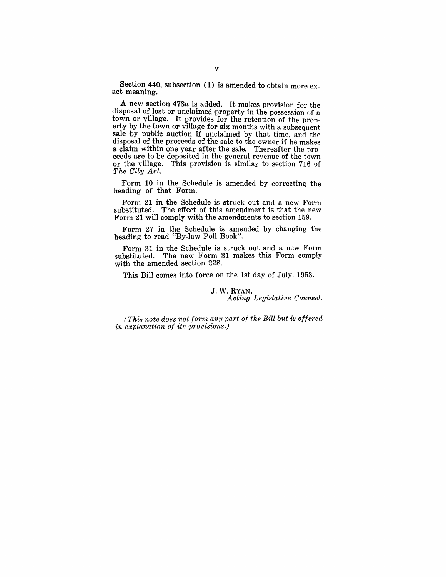Section 440, subsection (1) is amended to obtain more exact meaning.

A new section *473a* is added. It makes provision for the disposal of lost or unclaimed property in the possession of a town or village. It provides for the retention of the property by the town or village for six months with a subsequent sale by public auction if unclaimed by that time, and the disposal of the proceeds of the sale to the owner if he makes a claim within one year after the sale. Thereafter the proceeds are to be deposited in the general revenue of the town or the village. This provision is similar to section 716 of *The City Act.* 

Form 10 in the Schedule is amended by correcting the heading of that Form.

Form 21 in the Schedule is struck out and a new Form substituted. The effect of this amendment is that the new Form 21 will comply with the amendments to section 159.

Form 27 in the Schedule is amended by changing the heading to read "By-law Poll Book".

Form 31 in the Schedule is struck out and a new Form substituted. The new Form 31 makes this Form comply with the amended section 228.

This Bill comes into force on the 1st day of July, 1953.

#### J. W. RYAN, *Acting Legislative Counsel.*

*(This note does not forrn any part of the Bill but* is *offered in explanation of its provisions.)*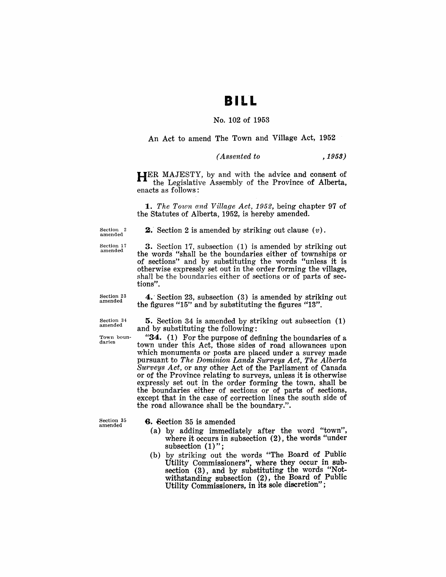## BILL

#### No. 102 of 1953

An Act to amend The Town and Village Act, 1952

#### *( Assented to* ,1959)

HER MAJESTY, by and with the advice and consent of the Legislative Assembly of the Province of Alberta, enacts as follows:

*1. The Town and Village Act,* 1952, being chapter 97 of the Statutes of Alberta, 1952, is hereby amended.

Section 2 amended

**2.** Section 2 is amended by striking out clause  $(v)$ .

Section 17 amended

3. Section 17, subsection (1) is amended by striking out the words' "shall be the boundaries either of townships or of sections" and by substituting the words "unless it is otherwise expressly set out in the order forming the village, shall be the boundaries either of sections or of parts of sections".

Section 23 amended

Section 34 amended

Town boundaries

5. Section.34 is amended by striking out subsection (1) and by substituting the following:

4.' Section 23, subsection (3) is amended by striking out

the figures "15" and by substituting the figures "13".

"34. (1) For the purpose of defining the boundaries of a town under this Act, those sides of road allowances upon which monuments or posts are placed under a survey made pursuant to *The Dominion Lands Surveys Act, The Alberta Surveys Act,* or any other Act of the Parliament of Oanada or of the Province relating to surveys, unless it is otherwise expressly set out in the order forming the town, shall be the boundaries either of sections or of parts of sections, except that in the case of correction lines the south side of the road allowance shall be the boundary.".

Section 35 amended

6. Section 35 is amended

- (a) by adding immediately after the word "town", where it occurs in subsection (2), the words "under subsection (1)";
- (b) by striking out the words "The Board of Public Utility Commissioners", where they occur in subsection (3), and by substituting the words "Notwithstanding subsection (2), the Board of Public Utility Commissioners, in its sole discretion" ;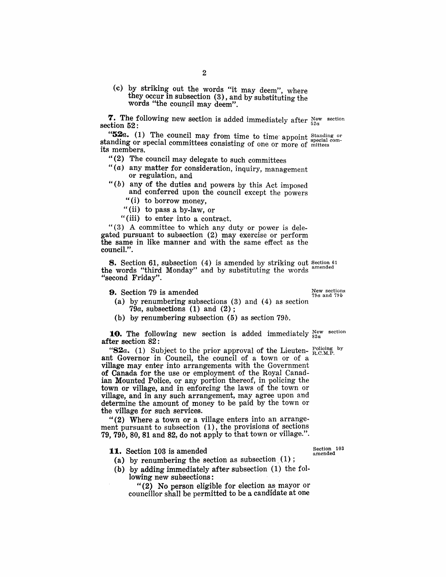(c) by striking out the words "it may deem", where they occur in subsection  $(3)$ , and by substituting the words "the council may deem".

**7.** The following new section is added immediately after  $\frac{New}{52a}$  section 52:

"52a. (1) The council may from time to time appoint Standing or standing or special committees consisting of one or more of mittees its members.

" $(2)$  The council may delegate to such committees

- " $(a)$  any matter for consideration, inquiry, management or regulation, and
- " $(b)$  any of the duties and powers by this Act imposed and conferred upon the council except the powers
	- "(i) to borrow money,
	- "(ii) to pass a by-law, or
	- "(iii) to enter into a contract.

"(3) A committee to which any duty or power is delegated pursuant to subsection (2) may exercise or perform the same in like manner and with the same effect as the council.".

8. Section 61, subsection (4) is amended by striking out Section 61 the words "third Monday" and by substituting the words "second Friday".

**9.** Section 79 is amended  $\frac{New~sections}{79a~and~79b}$ 

- (a) by renumbering subsections (3) and (4) as section  $7\overset{\circ}{9}a$ , subsections (1) and (2);
- (b) by renumhering subsection (5) as section 79b.

**10.** The following new section is added immediately  $_{82a}^{\text{New section}}$ after section 82:

"82a. (1) Subject to the prior approval of the Lieuten-  $_{\rm R.C.M.P.}^{\rm Policing}$  by ant Governor in Council, the council of a town or of a village may enter into arrangements with the Government of Canada for the use or employment of the Royal Canadian Mounted Police, or any portion thereof, in policing the town or village, and in enforcing the laws of the town or village, and in any such arrangement, may agree upon and determine the amount of money to be paid by the town or the village for such services.

"(2) Where a town or a village enters into an arrangement pursuant to subsection (1), the provisions of sections 79, 79 $b$ , 80, 81 and 82, do not apply to that town or village.".

11. Section 103 is amended

- (a) by renumbering the section as subsection  $(1)$ ;
- (h) by adding immediately after subsection (1) the following new subsections:

"(2) No person eligible for election as'mayor or councillor shall be permitted to be a candidate at one

Section 103 amended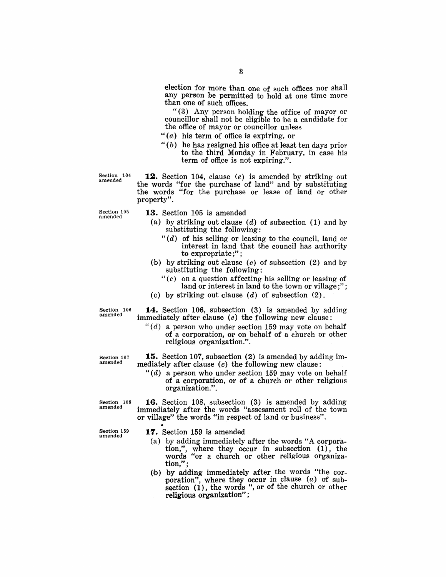election for more than one of such offices nor shall any person be permitted to hold at one time more than one of such offices.

" $(3)$  Any person holding the office of mayor or councillor shall not be eligible to be a candidate for the office of mayor or councillor unless

- $''(a)$  his term of office is expiring, or
- " $(b)$  he has resigned his office at least ten days prior to the third Monday in February, in case his term of office is not expiring.".

Section 104 amended

**12.** Section 104, clause (e) is amended by striking out the words "for the purchase of land" and by substituting the words "for the purchase or lease of land or other property".

Section 105 amended

- **13.** Section 105 is amended
	- (a) by striking out clause  $(d)$  of subsection  $(1)$  and by substituting the following:
		- "(d) of his selling or leasing to the council, land or interest in land that the council has authority to expropriate;" ;
	- (b) by striking out clause  $(c)$  of subsection  $(2)$  and by substituting the following:
		- $f'(c)$  on a question affecting his selling or leasing of land or interest in land to the town or village;";
	- (c) by striking out clause  $(d)$  of subsection  $(2)$ .

Section 106 amended

**14.** Section 106, subsection (3) is amended by adding immediately after clause  $(c)$  the following new clause:

*"(d)* a person who under section 159 may vote on behalf of a corporation, or on behalf of a church or other religious organization.".

Section 107 amended

**15.** Section 107, subsection (2) is amended by adding immediately after clause  $(c)$  the following new clause:

*"(d)* a person who under section 159 may vote on behalf of a corporation, or of a church or other religious organization.".

**16.** Section 108, subsection (3) is amended by adding immediately after the words "assessment roll of the town or village" the words "in respect of land or business" .

Section 108 amended

Section 159 amended

**17.** Section 159 is amended

- (a) by adding immediately after the words "A corporation,", where they occur in subsection (1), the words "or a church or other religious organization," ;
- (b) by adding immediately after the words "the corporation", where they occur in clause  $(a)$  of subsection  $(i)$ , the words ", or of the church or other religious organization";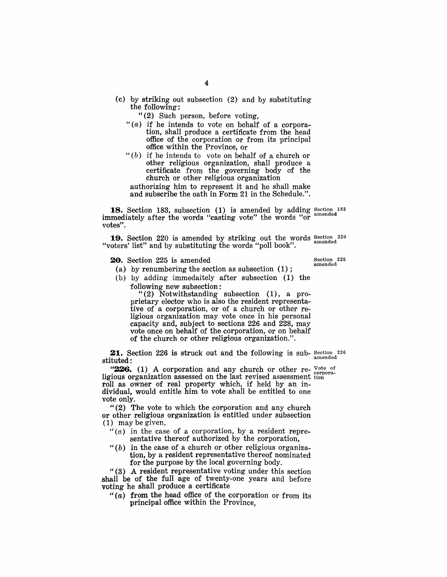(c) by striking out subsection (2) and by substituting the following:

"(2) Such person, before voting,

- " $(a)$  if he intends to vote on behalf of a corporation, shall produce a certificate from the head office of the corporation or from its principal office within the Province, Or
- " $(b)$  if he intends to vote on behalf of a church or other religious organization, shall produce a 'certificate from the governing body of the church or other religious organization

authorizing him to represent it and he shall make and subscribe the oath in Form 21 in the Schedule.".

**18.** Section 183, subsection  $(1)$  is amended by adding Section 183 immediately after the words "casting vote" the words "or votes".

**19.** Section 220 is amended by striking out the words Section 220 and little and by substituting the words "inell" "voters' list" and by substituting the words "poll book".

**20.** Section 225 is amended

Section 225<br>amended

(b) by adding immedaitely after subsection (1) the following new subsection:

(a) by renumbering the section as subsection (1) ;

"(2) Notwithstanding subsection (1), a pro prietary elector who is also the resident representative of a corporation, or of a church or other religious organization may vote once in his personal capacity and, subject to sections 226 and 228, may vote once on behalf of the corporation, or on behalf of the church or other religious organization.".

**21.** Section 226 is struck out and the following is sub- Section 226 stituted:

"226. (1) A corporation and any church or other re-  $V_{\text{other}}$  or ligious organization assessed on the last revised assessment tion roll as owner of real property which, if held by an individual, would entitle him· to vote shall be entitled to one vote only.

"(2) The vote to which the covporation and any church or other religious organization is entitled under subsection (1) may be given,

- $H(a)$  in the case of a corporation, by a resident representative thereof authorized by the corporation,
- " $(b)$  in the case of a church or other religious organization, by a resident representative thereof nominated for the purpose by the local governing body.

"(3) A resident representative voting under this section shall be of the full age of twenty-one years and before voting he shall produce a certificate

" $(a)$  from the head office of the corporation or from its principal office within the Province,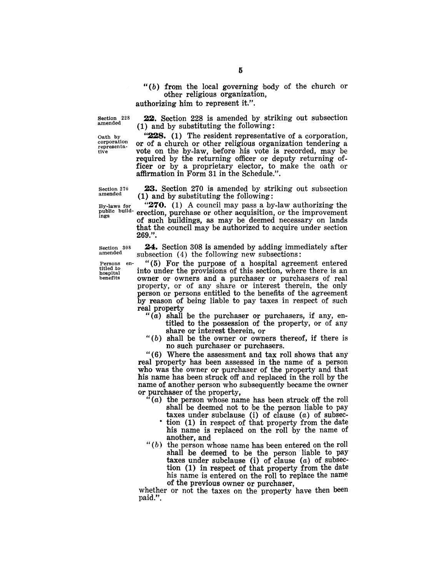#### $f(b)$  from the local governing body of the church or other religious organization,

authorizing him to represent it.".

 $(1)$  and by substituting the following:

Section 228 amended

Oath by<br>corporation representatiye

(1) and by substituting the following: **228.** (1) The resident representative of a corporation,

22. Section 228 is amended by striking out subsection

or of a church or other religious organization tendering a vote on the by-law, before his vote is recorded, may be required by the returning officer or deputy returning officer or by a proprietary elector, to make the oath or affirmation in Form 31 in the Schedule.".

Section 270 **23.** Section 270 is amended by striking out subsection amended  $(1)$  and by substituting the following

By-laws for "270. (1) A council may pass a by-law authorizing the public build- erection, purchase or other acquisition, or the improvement of such buildings, as may be deemed necessary on lands that the council may be authorized to acquire under section 269.".

> 24. Section 308 is amended by adding immediately after subsection (4) the following new subsections:

Persons en- " $(5)$  For the purpose of a hospital agreement entered<br>titled to<br>into under the purpose of this section where there is an  $^{titled~to}_{\text{hocolical}}$  into under the provisions of this section, where there is an  $^{telled~to}$  owner or owners and a nurchaser or purchasers of real owner or owners and a purchaser or purchasers of real property, or of any share or interest therein, the only person or persons entitled to the benefits of the agreement by reason of being liable to pay taxes in respect of such real property

- " $(a)$  shall be the purchaser or purchasers, if any, entitled to the possession of the property, or of any share or interest therein, or
- " $(b)$  shall be the owner or owners thereof, if there is no such purchaser or purchasers.

" (6) Where the assessment and tax roll shows that any real property has been assessed in the name of a person who was the owner or purchaser of the property and that his name has been struck off and replaced in the roll by the name of another person who subsequently became the owner or purchaser of the property,

- $(a)$  the person whose name has been struck off the roll shall be deemed not to be the person liable to pay taxes under subclause (i) of clause  $(a)$  of subsec-
	- tion (1) in respect of that property from the date his name is replaced on the roll by the name of another, and
- " $(b)$  the person whose name has been entered on the roll shall be deemed to be the person liable to pay taxes under subclause (i) of clause  $(a)$  of subsection (1) in respect of that property from the date his name is entered on the roll to replace the name of the previous owner or purchaser,

whether or not the taxes on the property have then been paid.".

Section 308 amended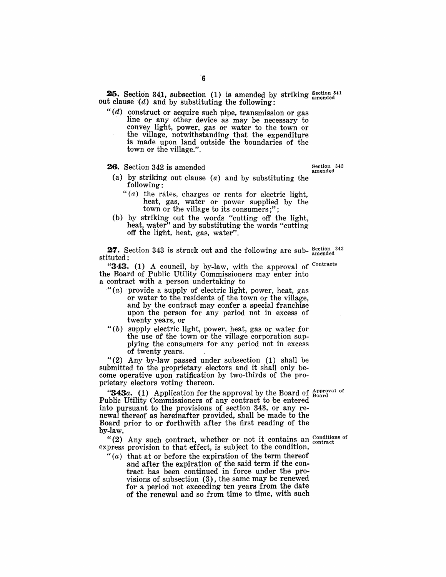25. Section 341, subsection (1) is amended by striking Section 341 out clause  $(d)$  and by substituting the following:

" $(d)$  construct or acquire such pipe, transmission or gas line or any other device as may be necessary to convey light, power, gas or water to the town or the village, notwithstanding that the expenditure is made upon land outside the boundaries of the town or the village.".

**26.** Section 342 is amended Section  $342$ 

- (a) by striking out clause  $(a)$  and by substituting the following:
	- $f'(a)$  the rates, charges or rents for electric light, heat, gas, water or power supplied by the town or the village to its consumers;";
- (b) by striking out the words "cutting off the light, heat, water" and by substituting the words "cutting" off the light, heat, gas, water".

27. Section 343 is struck out and the following are sub- $_{\text{amended}}^{343}$ stituted:

"343.  $(1)$  A council, by by-law, with the approval of Contracts the Board of Public Utility Commissioners may enter into a contract with a person undertaking to

- " $(a)$  provide a supply of electric light, power, heat, gas or water to the residents of the town or the village, and by the contract may confer a special franchise upon the person for any period not in excess of twenty years, or
- $"$ (b) supply electric light, power, heat, gas or water for the use of the town or the village corporation supplying the consumers for any period not in excess of twenty years.

"(2) Any by-law passed under subsection (1) shall be submitted to the proprietary electors and it shall only become operative upon ratification by two-thirds of the proprietary electors voting thereon.

"343a. (1) Application for the approval by the Board of  $\frac{\text{Approx}^{10}}{\text{Board}}$ Public Utility Commissioners of any contract to be entered into pursuant to the provisions of section 343, or any renewal thereof as hereinafter provided, shall be made to the Board prior to or forthwith after the first reading of the by-law.

"(2) Any such contract, whether or not it contains an  $\frac{\text{conditions of}}{\text{contract}}$ express provision to that effect, is subject to the condition,

 $''(a)$  that at or before the expiration of the term thereof and after the expiration of the said term if the contract has been continued in force under the provisions of subsection (3), the same may be renewed for a period not exceeding ten years from the date of the renewal and so from time to time, with such

 $\bf{6}$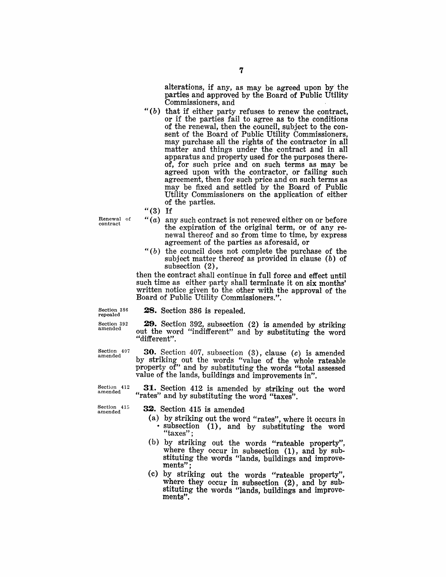alterations, if any, as may be agreed upon by'the parties and approved by the Board of Public Utility Commissioners, and

- $"$ (b) that if either party refuses to renew the contract, or if the parties fail to agree as to the conditions of the renewal, then the council, subject to the consent of the Board of Public Utility Commissioners, may purchase all the rights of the contractor in all matter and things under the contract and in all apparatus and property used for the purposes there $of$ , for such price and on such terms as may be agreed upon with the contractor, or failing such agreement, then for such price and on such terms as may be fixed and settled by the Board of Public Utility Commissioners on the application of either of the parties.
- $"$ (3) If

Renewal of contract

- $''(a)$  any such contract is not renewed either on or before the expiration of the original term, or of any renewal thereof and so from time to time, by express agreement of the parties as aforesaid, or
- " $(b)$  the council does not complete the purchase of the subject matter thereof as provided in clause  $(b)$  of subsection (2),

then the contract shall continue in full force and effect until such time as either party shall terminate it on six months' written notice given to the other with the approval of the Board of Public Utility Commissioners.".

Section 386 repealed

28. Section 386 is repealed.

Section 392 amended

29. Section 392, subsection (2) is amended by striking out the word "indifferent" and by substituting the word "different".

Section 407 amended

30. Section 407, subsection (3), clause (c) is amended by striking out the words "value of the whole rateable property of" and by substituting the words "total assessed value of the lands, buildings and improvements in".

31. Section 412 is amended by striking out the word "rates" and by substituting the word "taxes".

Section 415 amended

Section 412 amended

32. Section 415 is amended;

- (a) by striking out the word "rates", where it occurs in subsection (1), and by substituting the word "taxes";
- (b) by striking out the words "rateable property", where they occur in subsection (1), and by substituting the words "lands, buildings and improve-<br>ments":
- (c) by striking out the words "rateable property", where they occur in subsection  $(2)$ , and by substituting the words "lands, buildings and improve- ments".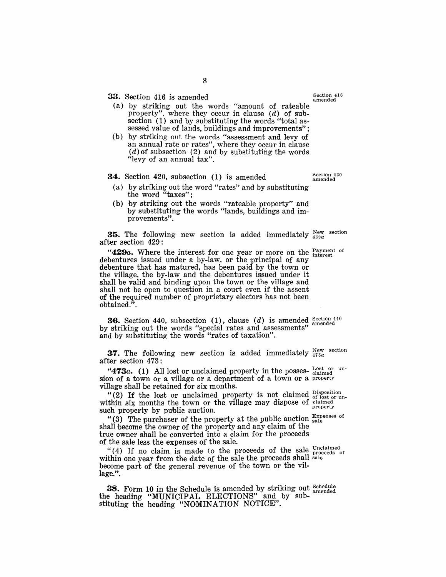33. Section 416 is amended Section 416

- (a) by striking out the words "amount of rateable property", where they occur in clause  $(d)$  of subsection (1) and by substituting the words "total assessed value of lands, buildings and improvements";
- (b) by striking out the words "assessment and levy of an annual rate or rates", where they occur in clause  $(d)$  of subsection (2) and by substituting the words "levy of an annual tax".

#### 34. Section 420, subsection (1) is amended

- (a) by striking out the word "rates" and by substituting the word "taxes";
- (b) hy striking out the words "rateable property" and by substituting the words "lands, buildings and improvements".

**35.** The following new section is added immediately  $_{429a}^{\text{New section}}$ after section 429:

" $429a$ . Where the interest for one year or more on the  $P<sub>current of</sub>$ debentures issued under a by-law, or the principal of any debenture that has matured, has been paid by the town or the village, the by-law and the debentures issued under it shall be valid and binding upon the town or the village and shall not be open to question in a court even if the assent of the required number of proprietary electors has not been obtained." .

**36.** Section 440, subsection (1), clause (d) is amended  $\frac{\text{Section 440}}{\text{seconded}}$ by striking out the words "special rates and assessments" and by substituting the words "rates of taxation".

**37.** The following new section is added immediately  $_{473a}^{New}$  section after section 473:

"473a. (1) All lost or unclaimed property in the posses-  $_{\text{calimed}}^{\text{Lost or un-}}$ sion of a town or a village or a department of a town or a property village shall be retained for six months.

"(2) If the lost or unclaimed property is not claimed  $_{\text{of lost or un-}}^{\text{Disposition}}$ within six months the town or the village may dispose of  $_{\rm generated}$ while the basic country of the vising of the property such property by public auction.

"(3) The purchaser of the property at the public auction  $_{\text{scale}}^{\text{Expenses of}}$ shall become the owner of the property and any claim of the true owner shall be converted into a claim for the proceeds of the sale less the expenses of the sale.

"(4) If no claim is made to the proceeds of the sale  $_{\text{proceeds}}^{\text{Unclained}}$ within one year from the date of the sale the proceeds shall sale become part of the general revenue of the town or the village.".

**38.** Form 10 in the Schedule is amended by striking out  $\frac{\text{Schedule}}{\text{imodode}}$ the heading "MUNICIPAL ELECTIONS" and by substituting the heading "NOMINATION NOTICE".

8

Section 420 amended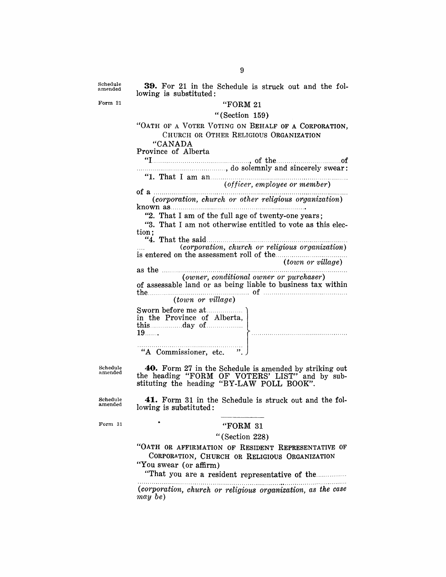Schedule amended

**39.** For 21 in the Schedule is struck out and the following is substituted:

Form 21

## "FORM 21

#### "(Section 159)

#### "OATH OF A VOTER VOTING ON BEHALF OF A CORPORATION. CHURCH OR OTHER RELIGIOUS ORGANIZATION "CANADA

Province of Alberta "I ................................................ , of the................... ..of ............................................ , do solemnly and sincerely swear:

# "1. That I am an ................................................................... . *(officer, employee or member)*

(corporation, church or other religious organization) known as............................. . .......................... .

"2. That I am of the full age of twenty-one years;

"3. That I am not otherwise entitled to vote as this election;

"4. That the said .................................................................... . *(corporation, church or religious organization)*  is entered on the assessment roll of the ................................... . *(town or village)* 

as the ........................................................................................... . *(owner, conditional owner or purchaser)* 

of assessable land or as being liable to business tax within the .................................................. of ......................................... . *(town or village)* 

Sworn before me at .............. . in the Province of Alberta, this ................ day of ................ . 19 ...... .

"A Commissioner, etc. "

Schedule amended

**40.** Form 27 in the Schedule is amended by striking out the heading "FORM OF VOTERS' LIST" and by substituting the heading "BY-LAW POLL BOOK".

**41.** Form 31 in the Schedule is struck out and the fol-

Schedule amended

Form 31

#### "FORM 31

#### "(Section 228)

"OATH OR AFFIRMATION OF RESIDENT REPRESENTATIVE OF CORPORATION, CHURCH OR RELIGIOUS ORGANIZATION

"You swear (or affirm)

lowing is substituted:

 $\bullet$ 

"That you are a resident representative of the ................

 $(corporation, church or religious organization, as the case$ *'inay be)*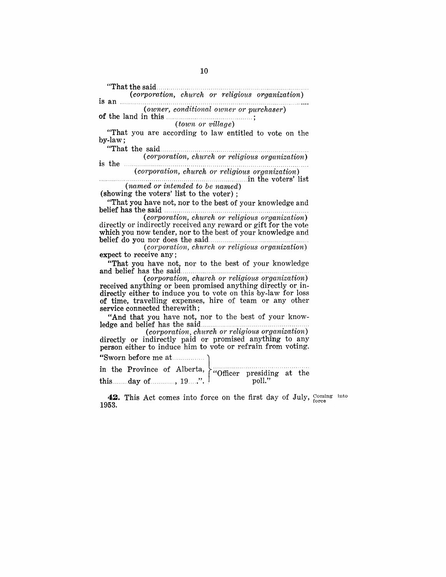"That the said........ . ................................................. , .... . *(corporation, church or religious o'rfganization)*  is an , ...... , ... , .. , ........ , ......................................... , ................. . *(owner, conditional owner or purchaser)*  of the land in this ........................................... ; (*town or village*) "That you are according to law entitled to vote on the by-law; "That the said.... .... ...... ............. ........ .............. .. .. .. is the *(corporation, church or religious organization) (corporation, church or religious organization)*  ".,. ,., .. ,., .......... ' ..... , , ... , .... , ... , "., ........................ .in the voters' list *(named or intended to be named)*  (showing the voters' list to the voter) ; "That you have not, nor to the best of your knowledge and belief has the said  $(corporation, church or religious organization)$ directly or indirectly received any reward or gift for the vote which you now tender, nor to the best of your knowledge and belief do you nor does the said.. .. ................................ . *(corporation, church or religious organization)*  expect to receive any; "That you have not, nor to the best of your knowledge  $(corporation, church or religious organization)$ received anything or been promised anything directly or indirectly either to induce you to vote on this by-law for loss of time, travelling expenses, hire of team or any other service connected therewith; "And that you have not, nor to the best of your knowledge and belief has the said .. , ...... ,', ......... , ....... ,.,., .... ,." .... , ...... . *(corporation, church or religious organization)*  directly or indirectly paid or promised anything to any person either to induce him to vote or refrain from voting. "Sworn before me at................ in the Province of Alberta,  $\overline{\\}'$  "Officer presiding at the this  $\overline{\\}'$  of  $\overline{\\}'$ "  $\overline{\\}'$ this ........ day of ............ , 19 ..... ". . poll." **42.** This Act comes into force on the first day of July,  $\frac{\text{Coming}}{\text{force}}$  1953.

into

10